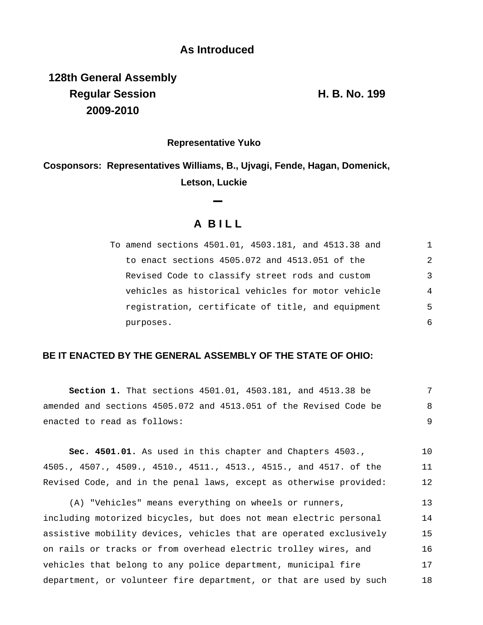# **As Introduced**

# **128th General Assembly Regular Session H. B. No. 199 2009-2010**

**Representative Yuko**

**Cosponsors: Representatives Williams, B., Ujvagi, Fende, Hagan, Domenick, Letson, Luckie**

**A B I L L**

| To amend sections 4501.01, 4503.181, and 4513.38 and | 1 |
|------------------------------------------------------|---|
| to enact sections 4505.072 and 4513.051 of the       | 2 |
| Revised Code to classify street rods and custom      | 3 |
| vehicles as historical vehicles for motor vehicle    | 4 |
| registration, certificate of title, and equipment    | 5 |
| purposes.                                            | 6 |

## **BE IT ENACTED BY THE GENERAL ASSEMBLY OF THE STATE OF OHIO:**

| <b>Section 1.</b> That sections 4501.01, 4503.181, and 4513.38 be |  |  |  |  |  | 7 |
|-------------------------------------------------------------------|--|--|--|--|--|---|
| amended and sections 4505.072 and 4513.051 of the Revised Code be |  |  |  |  |  |   |
| enacted to read as follows:                                       |  |  |  |  |  |   |

**Sec. 4501.01.** As used in this chapter and Chapters 4503., 4505., 4507., 4509., 4510., 4511., 4513., 4515., and 4517. of the Revised Code, and in the penal laws, except as otherwise provided: 10 11 12

(A) "Vehicles" means everything on wheels or runners, including motorized bicycles, but does not mean electric personal assistive mobility devices, vehicles that are operated exclusively on rails or tracks or from overhead electric trolley wires, and vehicles that belong to any police department, municipal fire department, or volunteer fire department, or that are used by such 13 14 15 16 17 18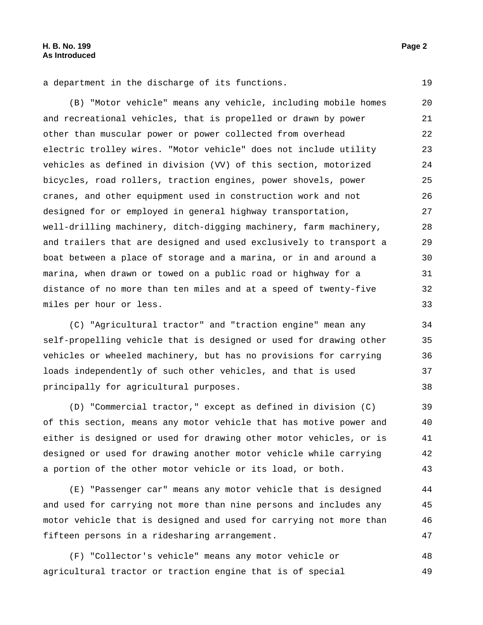a department in the discharge of its functions. 19

(B) "Motor vehicle" means any vehicle, including mobile homes and recreational vehicles, that is propelled or drawn by power other than muscular power or power collected from overhead electric trolley wires. "Motor vehicle" does not include utility vehicles as defined in division (VV) of this section, motorized bicycles, road rollers, traction engines, power shovels, power cranes, and other equipment used in construction work and not designed for or employed in general highway transportation, well-drilling machinery, ditch-digging machinery, farm machinery, and trailers that are designed and used exclusively to transport a boat between a place of storage and a marina, or in and around a marina, when drawn or towed on a public road or highway for a distance of no more than ten miles and at a speed of twenty-five miles per hour or less. 20 21 22 23 24 25 26 27 28 29 30 31 32 33

(C) "Agricultural tractor" and "traction engine" mean any self-propelling vehicle that is designed or used for drawing other vehicles or wheeled machinery, but has no provisions for carrying loads independently of such other vehicles, and that is used principally for agricultural purposes.

(D) "Commercial tractor," except as defined in division (C) of this section, means any motor vehicle that has motive power and either is designed or used for drawing other motor vehicles, or is designed or used for drawing another motor vehicle while carrying a portion of the other motor vehicle or its load, or both. 39 40 41 42 43

(E) "Passenger car" means any motor vehicle that is designed and used for carrying not more than nine persons and includes any motor vehicle that is designed and used for carrying not more than fifteen persons in a ridesharing arrangement. 44 45 46 47

(F) "Collector's vehicle" means any motor vehicle or agricultural tractor or traction engine that is of special 48 49

34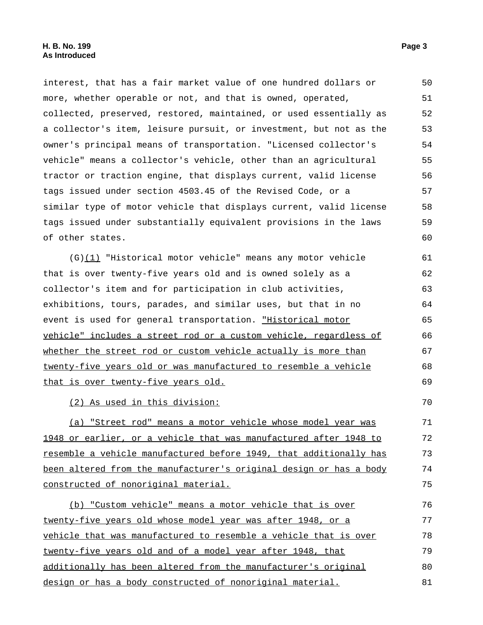interest, that has a fair market value of one hundred dollars or more, whether operable or not, and that is owned, operated, collected, preserved, restored, maintained, or used essentially as a collector's item, leisure pursuit, or investment, but not as the owner's principal means of transportation. "Licensed collector's vehicle" means a collector's vehicle, other than an agricultural tractor or traction engine, that displays current, valid license tags issued under section 4503.45 of the Revised Code, or a similar type of motor vehicle that displays current, valid license tags issued under substantially equivalent provisions in the laws of other states. 50 51 52 53 54 55 56 57 58 59 60

 $(G)$ (1) "Historical motor vehicle" means any motor vehicle that is over twenty-five years old and is owned solely as a collector's item and for participation in club activities, exhibitions, tours, parades, and similar uses, but that in no event is used for general transportation. "Historical motor vehicle" includes a street rod or a custom vehicle, regardless of whether the street rod or custom vehicle actually is more than twenty-five years old or was manufactured to resemble a vehicle that is over twenty-five years old. 61 62 63 64 65 66 67 68 69

(2) As used in this division: 70

(a) "Street rod" means a motor vehicle whose model year was 1948 or earlier, or a vehicle that was manufactured after 1948 to resemble a vehicle manufactured before 1949, that additionally has been altered from the manufacturer's original design or has a body constructed of nonoriginal material. 71 72 73 74 75

(b) "Custom vehicle" means a motor vehicle that is over twenty-five years old whose model year was after 1948, or a vehicle that was manufactured to resemble a vehicle that is over twenty-five years old and of a model year after 1948, that additionally has been altered from the manufacturer's original design or has a body constructed of nonoriginal material. 76 77 78 79 80 81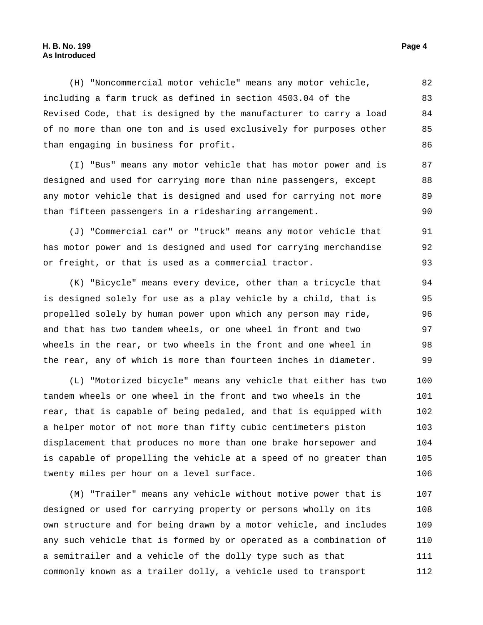### **H. B. No. 199 Page 4 As Introduced**

(H) "Noncommercial motor vehicle" means any motor vehicle, including a farm truck as defined in section 4503.04 of the Revised Code, that is designed by the manufacturer to carry a load of no more than one ton and is used exclusively for purposes other than engaging in business for profit. 82 83 84 85 86

(I) "Bus" means any motor vehicle that has motor power and is designed and used for carrying more than nine passengers, except any motor vehicle that is designed and used for carrying not more than fifteen passengers in a ridesharing arrangement. 87 88 89 90

(J) "Commercial car" or "truck" means any motor vehicle that has motor power and is designed and used for carrying merchandise or freight, or that is used as a commercial tractor. 91 92 93

(K) "Bicycle" means every device, other than a tricycle that is designed solely for use as a play vehicle by a child, that is propelled solely by human power upon which any person may ride, and that has two tandem wheels, or one wheel in front and two wheels in the rear, or two wheels in the front and one wheel in the rear, any of which is more than fourteen inches in diameter. 94 95 96 97 98 99

(L) "Motorized bicycle" means any vehicle that either has two tandem wheels or one wheel in the front and two wheels in the rear, that is capable of being pedaled, and that is equipped with a helper motor of not more than fifty cubic centimeters piston displacement that produces no more than one brake horsepower and is capable of propelling the vehicle at a speed of no greater than twenty miles per hour on a level surface. 100 101 102 103 104 105 106

(M) "Trailer" means any vehicle without motive power that is designed or used for carrying property or persons wholly on its own structure and for being drawn by a motor vehicle, and includes any such vehicle that is formed by or operated as a combination of a semitrailer and a vehicle of the dolly type such as that commonly known as a trailer dolly, a vehicle used to transport 107 108 109 110 111 112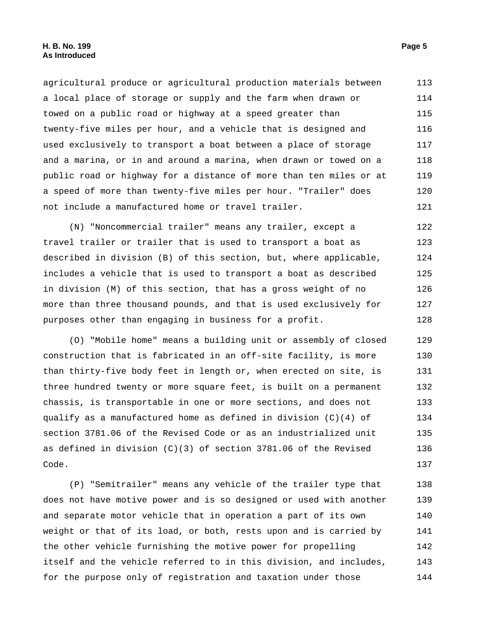agricultural produce or agricultural production materials between a local place of storage or supply and the farm when drawn or towed on a public road or highway at a speed greater than twenty-five miles per hour, and a vehicle that is designed and used exclusively to transport a boat between a place of storage and a marina, or in and around a marina, when drawn or towed on a public road or highway for a distance of more than ten miles or at a speed of more than twenty-five miles per hour. "Trailer" does not include a manufactured home or travel trailer. 113 114 115 116 117 118 119 120 121

(N) "Noncommercial trailer" means any trailer, except a travel trailer or trailer that is used to transport a boat as described in division (B) of this section, but, where applicable, includes a vehicle that is used to transport a boat as described in division (M) of this section, that has a gross weight of no more than three thousand pounds, and that is used exclusively for purposes other than engaging in business for a profit. 122 123 124 125 126 127 128

(O) "Mobile home" means a building unit or assembly of closed construction that is fabricated in an off-site facility, is more than thirty-five body feet in length or, when erected on site, is three hundred twenty or more square feet, is built on a permanent chassis, is transportable in one or more sections, and does not qualify as a manufactured home as defined in division  $(C)(4)$  of section 3781.06 of the Revised Code or as an industrialized unit as defined in division (C)(3) of section 3781.06 of the Revised Code. 129 130 131 132 133 134 135 136 137

(P) "Semitrailer" means any vehicle of the trailer type that does not have motive power and is so designed or used with another and separate motor vehicle that in operation a part of its own weight or that of its load, or both, rests upon and is carried by the other vehicle furnishing the motive power for propelling itself and the vehicle referred to in this division, and includes, for the purpose only of registration and taxation under those 138 139 140 141 142 143 144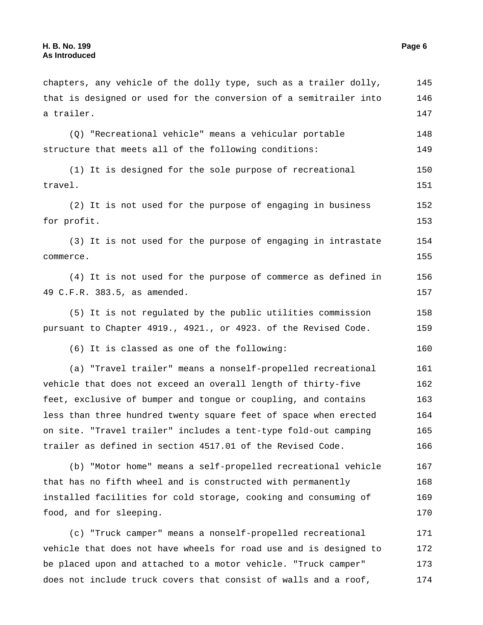chapters, any vehicle of the dolly type, such as a trailer dolly, that is designed or used for the conversion of a semitrailer into a trailer. 145 146 147 (Q) "Recreational vehicle" means a vehicular portable structure that meets all of the following conditions: 148 149 (1) It is designed for the sole purpose of recreational travel. 150 151 (2) It is not used for the purpose of engaging in business for profit. 152 153 (3) It is not used for the purpose of engaging in intrastate commerce. 154 155 (4) It is not used for the purpose of commerce as defined in 49 C.F.R. 383.5, as amended. 156 157 (5) It is not regulated by the public utilities commission pursuant to Chapter 4919., 4921., or 4923. of the Revised Code. 158 159 (6) It is classed as one of the following: 160 (a) "Travel trailer" means a nonself-propelled recreational vehicle that does not exceed an overall length of thirty-five feet, exclusive of bumper and tongue or coupling, and contains less than three hundred twenty square feet of space when erected on site. "Travel trailer" includes a tent-type fold-out camping trailer as defined in section 4517.01 of the Revised Code. 161 162 163 164 165 166 (b) "Motor home" means a self-propelled recreational vehicle that has no fifth wheel and is constructed with permanently installed facilities for cold storage, cooking and consuming of food, and for sleeping. 167 168 169 170 (c) "Truck camper" means a nonself-propelled recreational 171

vehicle that does not have wheels for road use and is designed to be placed upon and attached to a motor vehicle. "Truck camper" does not include truck covers that consist of walls and a roof, 172 173 174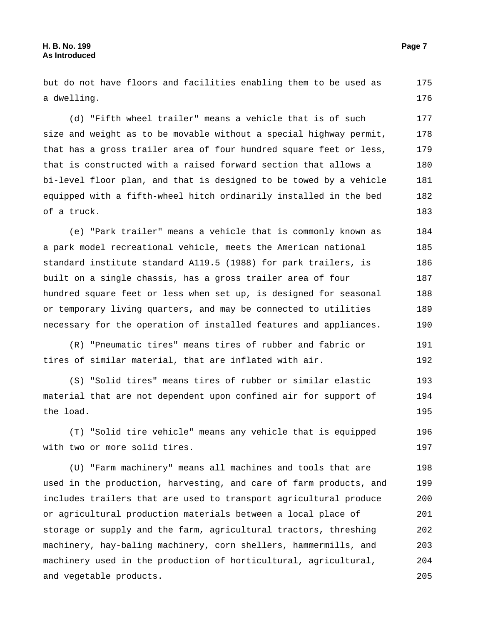but do not have floors and facilities enabling them to be used as a dwelling. 175 176 (d) "Fifth wheel trailer" means a vehicle that is of such size and weight as to be movable without a special highway permit, that has a gross trailer area of four hundred square feet or less, that is constructed with a raised forward section that allows a bi-level floor plan, and that is designed to be towed by a vehicle equipped with a fifth-wheel hitch ordinarily installed in the bed of a truck. 177 178 179 180 181 182 183 (e) "Park trailer" means a vehicle that is commonly known as a park model recreational vehicle, meets the American national standard institute standard A119.5 (1988) for park trailers, is built on a single chassis, has a gross trailer area of four hundred square feet or less when set up, is designed for seasonal 184 185 186 187 188

or temporary living quarters, and may be connected to utilities necessary for the operation of installed features and appliances. 189 190

(R) "Pneumatic tires" means tires of rubber and fabric or tires of similar material, that are inflated with air. 191 192

(S) "Solid tires" means tires of rubber or similar elastic material that are not dependent upon confined air for support of the load. 193 194 195

(T) "Solid tire vehicle" means any vehicle that is equipped with two or more solid tires. 196 197

(U) "Farm machinery" means all machines and tools that are used in the production, harvesting, and care of farm products, and includes trailers that are used to transport agricultural produce or agricultural production materials between a local place of storage or supply and the farm, agricultural tractors, threshing machinery, hay-baling machinery, corn shellers, hammermills, and machinery used in the production of horticultural, agricultural, and vegetable products. 198 199 200 201 202 203 204 205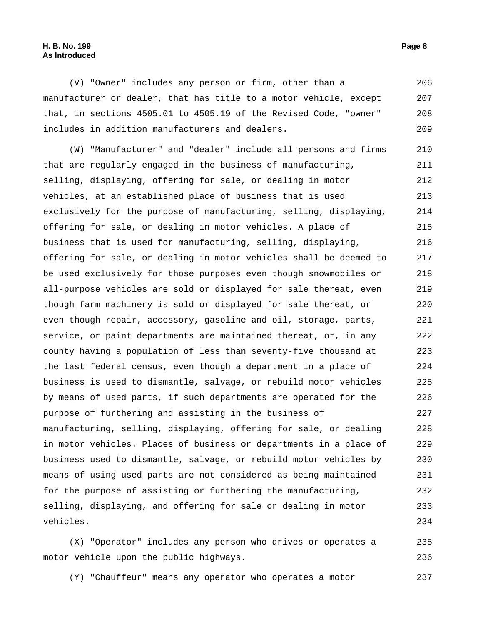### **H. B. No. 199 Page 8 As Introduced**

(V) "Owner" includes any person or firm, other than a manufacturer or dealer, that has title to a motor vehicle, except that, in sections 4505.01 to 4505.19 of the Revised Code, "owner" includes in addition manufacturers and dealers. 206 207 208 209

(W) "Manufacturer" and "dealer" include all persons and firms that are regularly engaged in the business of manufacturing, selling, displaying, offering for sale, or dealing in motor vehicles, at an established place of business that is used exclusively for the purpose of manufacturing, selling, displaying, offering for sale, or dealing in motor vehicles. A place of business that is used for manufacturing, selling, displaying, offering for sale, or dealing in motor vehicles shall be deemed to be used exclusively for those purposes even though snowmobiles or all-purpose vehicles are sold or displayed for sale thereat, even though farm machinery is sold or displayed for sale thereat, or even though repair, accessory, gasoline and oil, storage, parts, service, or paint departments are maintained thereat, or, in any county having a population of less than seventy-five thousand at the last federal census, even though a department in a place of business is used to dismantle, salvage, or rebuild motor vehicles by means of used parts, if such departments are operated for the purpose of furthering and assisting in the business of manufacturing, selling, displaying, offering for sale, or dealing in motor vehicles. Places of business or departments in a place of business used to dismantle, salvage, or rebuild motor vehicles by means of using used parts are not considered as being maintained for the purpose of assisting or furthering the manufacturing, selling, displaying, and offering for sale or dealing in motor vehicles. 210 211 212 213 214 215 216 217 218 219 220 221 222 223 224 225 226 227 228 229 230 231 232 233 234

(X) "Operator" includes any person who drives or operates a motor vehicle upon the public highways. 235 236

(Y) "Chauffeur" means any operator who operates a motor 237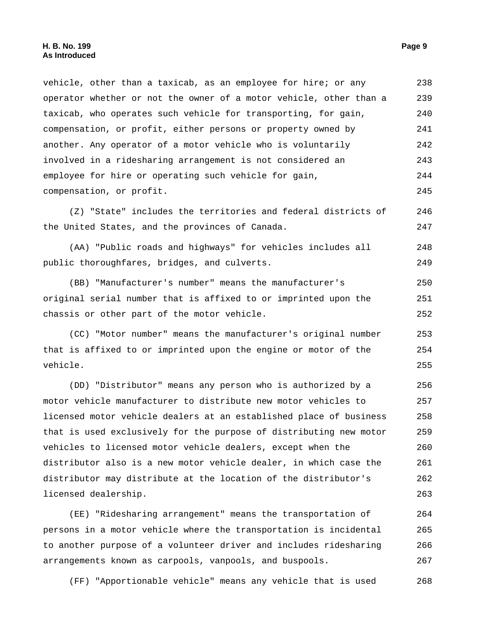vehicle, other than a taxicab, as an employee for hire; or any operator whether or not the owner of a motor vehicle, other than a taxicab, who operates such vehicle for transporting, for gain, compensation, or profit, either persons or property owned by another. Any operator of a motor vehicle who is voluntarily involved in a ridesharing arrangement is not considered an employee for hire or operating such vehicle for gain, compensation, or profit. 238 239 240 241 242 243 244 245

(Z) "State" includes the territories and federal districts of the United States, and the provinces of Canada. 246 247

(AA) "Public roads and highways" for vehicles includes all public thoroughfares, bridges, and culverts. 248 249

(BB) "Manufacturer's number" means the manufacturer's original serial number that is affixed to or imprinted upon the chassis or other part of the motor vehicle. 250 251 252

(CC) "Motor number" means the manufacturer's original number that is affixed to or imprinted upon the engine or motor of the vehicle. 253 254 255

(DD) "Distributor" means any person who is authorized by a motor vehicle manufacturer to distribute new motor vehicles to licensed motor vehicle dealers at an established place of business that is used exclusively for the purpose of distributing new motor vehicles to licensed motor vehicle dealers, except when the distributor also is a new motor vehicle dealer, in which case the distributor may distribute at the location of the distributor's licensed dealership. 256 257 258 259 260 261 262 263

(EE) "Ridesharing arrangement" means the transportation of persons in a motor vehicle where the transportation is incidental to another purpose of a volunteer driver and includes ridesharing arrangements known as carpools, vanpools, and buspools. 264 265 266 267

(FF) "Apportionable vehicle" means any vehicle that is used 268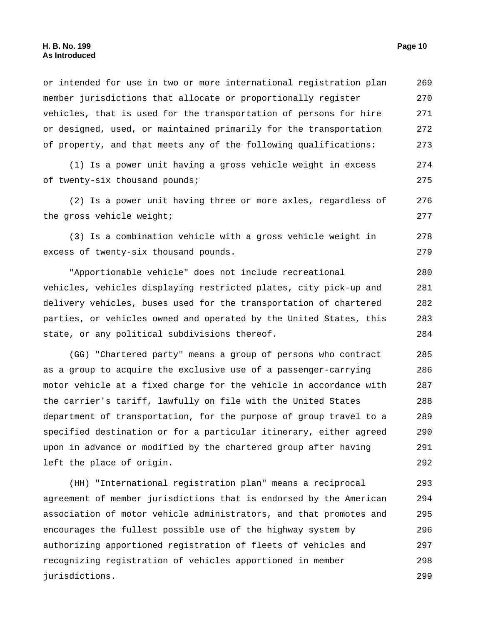or intended for use in two or more international registration plan member jurisdictions that allocate or proportionally register vehicles, that is used for the transportation of persons for hire or designed, used, or maintained primarily for the transportation of property, and that meets any of the following qualifications: 269 270 271 272 273

(1) Is a power unit having a gross vehicle weight in excess of twenty-six thousand pounds; 274 275

(2) Is a power unit having three or more axles, regardless of the gross vehicle weight; 276 277

(3) Is a combination vehicle with a gross vehicle weight in excess of twenty-six thousand pounds. 278 279

"Apportionable vehicle" does not include recreational vehicles, vehicles displaying restricted plates, city pick-up and delivery vehicles, buses used for the transportation of chartered parties, or vehicles owned and operated by the United States, this state, or any political subdivisions thereof. 280 281 282 283 284

(GG) "Chartered party" means a group of persons who contract as a group to acquire the exclusive use of a passenger-carrying motor vehicle at a fixed charge for the vehicle in accordance with the carrier's tariff, lawfully on file with the United States department of transportation, for the purpose of group travel to a specified destination or for a particular itinerary, either agreed upon in advance or modified by the chartered group after having left the place of origin. 285 286 287 288 289 290 291 292

(HH) "International registration plan" means a reciprocal agreement of member jurisdictions that is endorsed by the American association of motor vehicle administrators, and that promotes and encourages the fullest possible use of the highway system by authorizing apportioned registration of fleets of vehicles and recognizing registration of vehicles apportioned in member jurisdictions. 293 294 295 296 297 298 299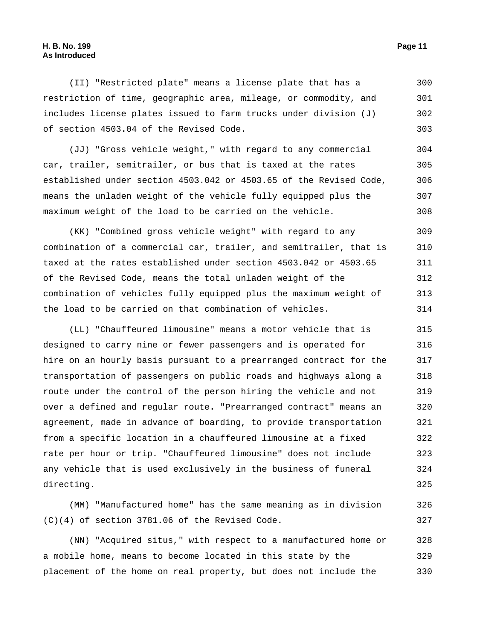### **H. B. No. 199 Page 11 As Introduced**

(II) "Restricted plate" means a license plate that has a restriction of time, geographic area, mileage, or commodity, and includes license plates issued to farm trucks under division (J) of section 4503.04 of the Revised Code. 300 301 302 303

(JJ) "Gross vehicle weight," with regard to any commercial car, trailer, semitrailer, or bus that is taxed at the rates established under section 4503.042 or 4503.65 of the Revised Code, means the unladen weight of the vehicle fully equipped plus the maximum weight of the load to be carried on the vehicle. 304 305 306 307 308

(KK) "Combined gross vehicle weight" with regard to any combination of a commercial car, trailer, and semitrailer, that is taxed at the rates established under section 4503.042 or 4503.65 of the Revised Code, means the total unladen weight of the combination of vehicles fully equipped plus the maximum weight of the load to be carried on that combination of vehicles. 309 310 311 312 313 314

(LL) "Chauffeured limousine" means a motor vehicle that is designed to carry nine or fewer passengers and is operated for hire on an hourly basis pursuant to a prearranged contract for the transportation of passengers on public roads and highways along a route under the control of the person hiring the vehicle and not over a defined and regular route. "Prearranged contract" means an agreement, made in advance of boarding, to provide transportation from a specific location in a chauffeured limousine at a fixed rate per hour or trip. "Chauffeured limousine" does not include any vehicle that is used exclusively in the business of funeral directing. 315 316 317 318 319 320 321 322 323 324 325

(MM) "Manufactured home" has the same meaning as in division (C)(4) of section 3781.06 of the Revised Code. 326 327

(NN) "Acquired situs," with respect to a manufactured home or a mobile home, means to become located in this state by the placement of the home on real property, but does not include the 328 329 330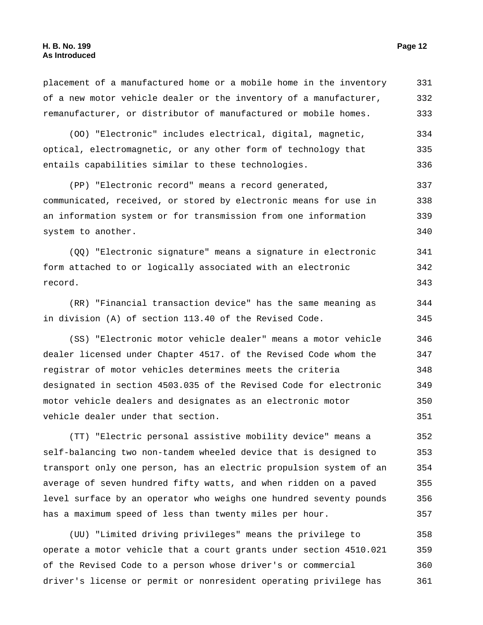### **H. B. No. 199 Page 12 As Introduced**

placement of a manufactured home or a mobile home in the inventory of a new motor vehicle dealer or the inventory of a manufacturer, remanufacturer, or distributor of manufactured or mobile homes. 331 332 333

(OO) "Electronic" includes electrical, digital, magnetic, optical, electromagnetic, or any other form of technology that entails capabilities similar to these technologies. 334 335 336

(PP) "Electronic record" means a record generated, communicated, received, or stored by electronic means for use in an information system or for transmission from one information system to another. 337 338 339 340

(QQ) "Electronic signature" means a signature in electronic form attached to or logically associated with an electronic record. 341 342 343

(RR) "Financial transaction device" has the same meaning as in division (A) of section 113.40 of the Revised Code. 344 345

(SS) "Electronic motor vehicle dealer" means a motor vehicle dealer licensed under Chapter 4517. of the Revised Code whom the registrar of motor vehicles determines meets the criteria designated in section 4503.035 of the Revised Code for electronic motor vehicle dealers and designates as an electronic motor vehicle dealer under that section. 346 347 348 349 350 351

(TT) "Electric personal assistive mobility device" means a self-balancing two non-tandem wheeled device that is designed to transport only one person, has an electric propulsion system of an average of seven hundred fifty watts, and when ridden on a paved level surface by an operator who weighs one hundred seventy pounds has a maximum speed of less than twenty miles per hour. 352 353 354 355 356 357

(UU) "Limited driving privileges" means the privilege to operate a motor vehicle that a court grants under section 4510.021 of the Revised Code to a person whose driver's or commercial driver's license or permit or nonresident operating privilege has 358 359 360 361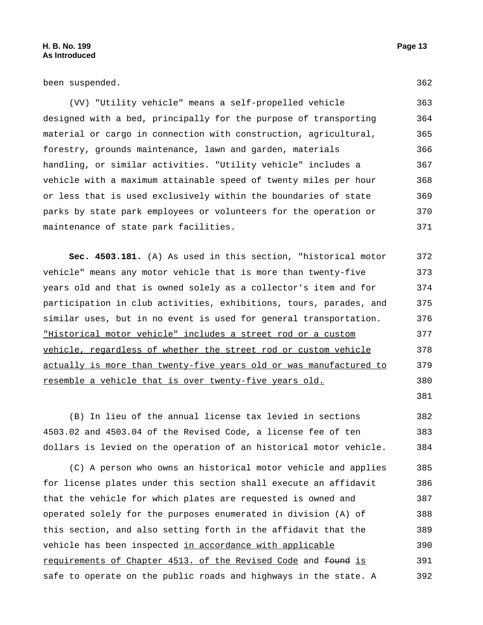been suspended. 362

(VV) "Utility vehicle" means a self-propelled vehicle designed with a bed, principally for the purpose of transporting material or cargo in connection with construction, agricultural, forestry, grounds maintenance, lawn and garden, materials handling, or similar activities. "Utility vehicle" includes a vehicle with a maximum attainable speed of twenty miles per hour or less that is used exclusively within the boundaries of state parks by state park employees or volunteers for the operation or maintenance of state park facilities. 363 364 365 366 367 368 369 370 371

**Sec. 4503.181.** (A) As used in this section, "historical motor vehicle" means any motor vehicle that is more than twenty-five years old and that is owned solely as a collector's item and for participation in club activities, exhibitions, tours, parades, and similar uses, but in no event is used for general transportation. "Historical motor vehicle" includes a street rod or a custom vehicle, regardless of whether the street rod or custom vehicle actually is more than twenty-five years old or was manufactured to resemble a vehicle that is over twenty-five years old. 372 373 374 375 376 377 378 379 380

381

(B) In lieu of the annual license tax levied in sections 4503.02 and 4503.04 of the Revised Code, a license fee of ten dollars is levied on the operation of an historical motor vehicle. 382 383 384

(C) A person who owns an historical motor vehicle and applies for license plates under this section shall execute an affidavit that the vehicle for which plates are requested is owned and operated solely for the purposes enumerated in division (A) of this section, and also setting forth in the affidavit that the vehicle has been inspected in accordance with applicable requirements of Chapter 4513. of the Revised Code and found is safe to operate on the public roads and highways in the state. A 385 386 387 388 389 390 391 392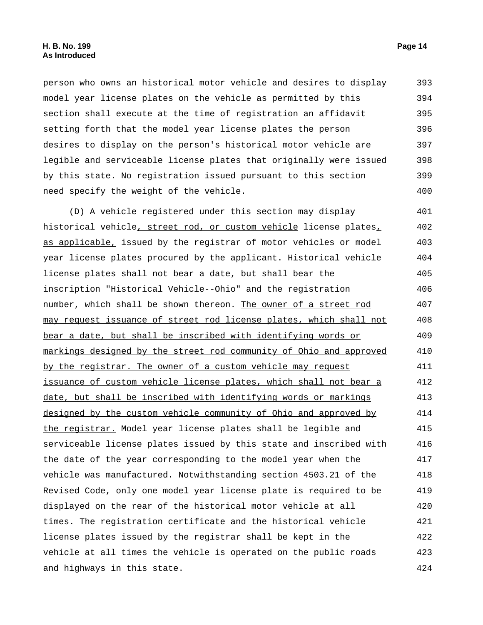person who owns an historical motor vehicle and desires to display model year license plates on the vehicle as permitted by this section shall execute at the time of registration an affidavit setting forth that the model year license plates the person desires to display on the person's historical motor vehicle are legible and serviceable license plates that originally were issued by this state. No registration issued pursuant to this section need specify the weight of the vehicle. 393 394 395 396 397 398 399 400

(D) A vehicle registered under this section may display historical vehicle, street rod, or custom vehicle license plates, as applicable, issued by the registrar of motor vehicles or model year license plates procured by the applicant. Historical vehicle license plates shall not bear a date, but shall bear the inscription "Historical Vehicle--Ohio" and the registration number, which shall be shown thereon. The owner of a street rod may request issuance of street rod license plates, which shall not bear a date, but shall be inscribed with identifying words or markings designed by the street rod community of Ohio and approved by the registrar. The owner of a custom vehicle may request issuance of custom vehicle license plates, which shall not bear a date, but shall be inscribed with identifying words or markings designed by the custom vehicle community of Ohio and approved by the registrar. Model year license plates shall be legible and serviceable license plates issued by this state and inscribed with the date of the year corresponding to the model year when the vehicle was manufactured. Notwithstanding section 4503.21 of the Revised Code, only one model year license plate is required to be displayed on the rear of the historical motor vehicle at all times. The registration certificate and the historical vehicle license plates issued by the registrar shall be kept in the vehicle at all times the vehicle is operated on the public roads and highways in this state. 401 402 403 404 405 406 407 408 409 410 411 412 413 414 415 416 417 418 419 420 421 422 423 424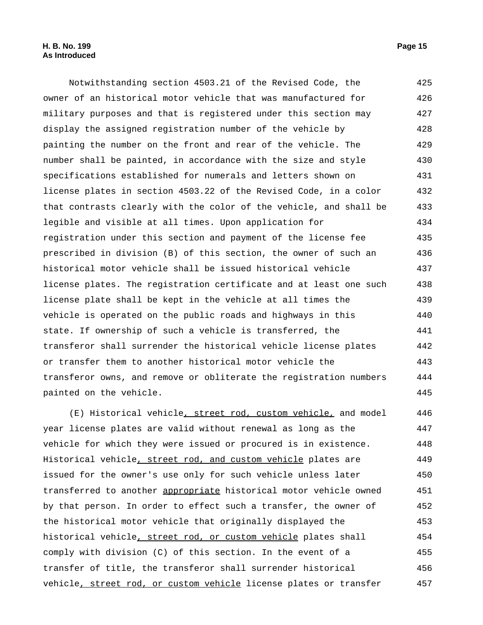Notwithstanding section 4503.21 of the Revised Code, the owner of an historical motor vehicle that was manufactured for military purposes and that is registered under this section may display the assigned registration number of the vehicle by painting the number on the front and rear of the vehicle. The number shall be painted, in accordance with the size and style specifications established for numerals and letters shown on license plates in section 4503.22 of the Revised Code, in a color that contrasts clearly with the color of the vehicle, and shall be legible and visible at all times. Upon application for registration under this section and payment of the license fee prescribed in division (B) of this section, the owner of such an historical motor vehicle shall be issued historical vehicle license plates. The registration certificate and at least one such license plate shall be kept in the vehicle at all times the vehicle is operated on the public roads and highways in this state. If ownership of such a vehicle is transferred, the transferor shall surrender the historical vehicle license plates or transfer them to another historical motor vehicle the transferor owns, and remove or obliterate the registration numbers painted on the vehicle. 425 426 427 428 429 430 431 432 433 434 435 436 437 438 439 440 441 442 443 444 445

(E) Historical vehicle, street rod, custom vehicle, and model year license plates are valid without renewal as long as the vehicle for which they were issued or procured is in existence. Historical vehicle, street rod, and custom vehicle plates are issued for the owner's use only for such vehicle unless later transferred to another appropriate historical motor vehicle owned by that person. In order to effect such a transfer, the owner of the historical motor vehicle that originally displayed the historical vehicle, street rod, or custom vehicle plates shall comply with division (C) of this section. In the event of a transfer of title, the transferor shall surrender historical vehicle, street rod, or custom vehicle license plates or transfer 446 447 448 449 450 451 452 453 454 455 456 457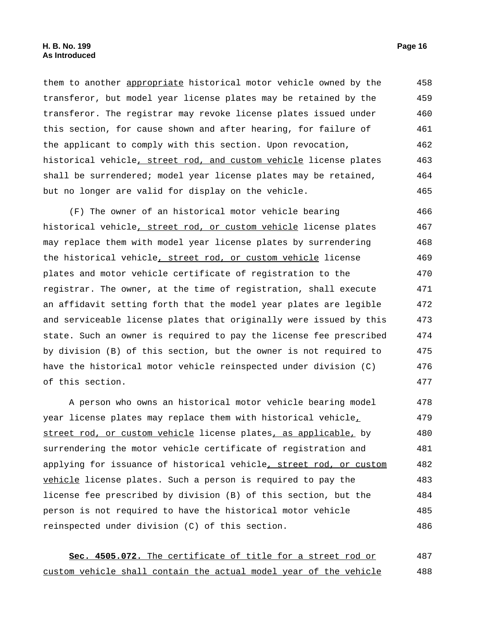them to another appropriate historical motor vehicle owned by the transferor, but model year license plates may be retained by the transferor. The registrar may revoke license plates issued under this section, for cause shown and after hearing, for failure of the applicant to comply with this section. Upon revocation, historical vehicle, street rod, and custom vehicle license plates shall be surrendered; model year license plates may be retained, but no longer are valid for display on the vehicle. 458 459 460 461 462 463 464 465

(F) The owner of an historical motor vehicle bearing historical vehicle, street rod, or custom vehicle license plates may replace them with model year license plates by surrendering the historical vehicle, street rod, or custom vehicle license plates and motor vehicle certificate of registration to the registrar. The owner, at the time of registration, shall execute an affidavit setting forth that the model year plates are legible and serviceable license plates that originally were issued by this state. Such an owner is required to pay the license fee prescribed by division (B) of this section, but the owner is not required to have the historical motor vehicle reinspected under division (C) of this section. 466 467 468 469 470 471 472 473 474 475 476 477

A person who owns an historical motor vehicle bearing model year license plates may replace them with historical vehicle, street rod, or custom vehicle license plates, as applicable, by surrendering the motor vehicle certificate of registration and applying for issuance of historical vehicle, street rod, or custom vehicle license plates. Such a person is required to pay the license fee prescribed by division (B) of this section, but the person is not required to have the historical motor vehicle reinspected under division (C) of this section. 478 479 480 481 482 483 484 485 486

**Sec. 4505.072.** The certificate of title for a street rod or custom vehicle shall contain the actual model year of the vehicle 487 488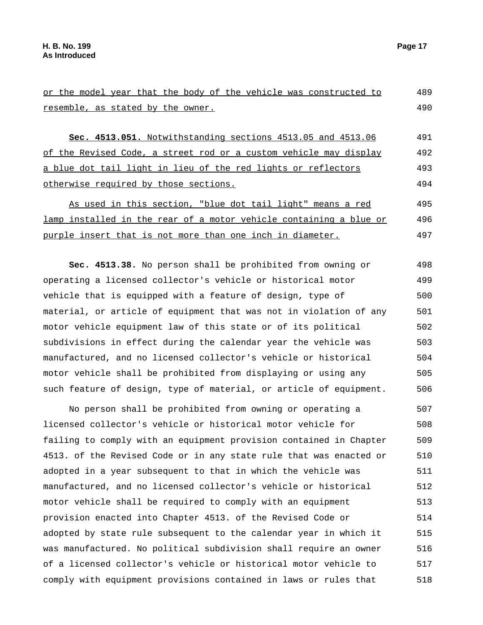|  |  |  |                                          |  |  | or the model year that the body of the vehicle was constructed to | 489 |
|--|--|--|------------------------------------------|--|--|-------------------------------------------------------------------|-----|
|  |  |  | <u>resemble, as stated by the owner.</u> |  |  |                                                                   | 490 |

**Sec. 4513.051.** Notwithstanding sections 4513.05 and 4513.06 of the Revised Code, a street rod or a custom vehicle may display a blue dot tail light in lieu of the red lights or reflectors otherwise required by those sections. 491 492 493 494

As used in this section, "blue dot tail light" means a red lamp installed in the rear of a motor vehicle containing a blue or purple insert that is not more than one inch in diameter. 495 496 497

**Sec. 4513.38.** No person shall be prohibited from owning or operating a licensed collector's vehicle or historical motor vehicle that is equipped with a feature of design, type of material, or article of equipment that was not in violation of any motor vehicle equipment law of this state or of its political subdivisions in effect during the calendar year the vehicle was manufactured, and no licensed collector's vehicle or historical motor vehicle shall be prohibited from displaying or using any such feature of design, type of material, or article of equipment. 498 499 500 501 502 503 504 505 506

No person shall be prohibited from owning or operating a licensed collector's vehicle or historical motor vehicle for failing to comply with an equipment provision contained in Chapter 4513. of the Revised Code or in any state rule that was enacted or adopted in a year subsequent to that in which the vehicle was manufactured, and no licensed collector's vehicle or historical motor vehicle shall be required to comply with an equipment provision enacted into Chapter 4513. of the Revised Code or adopted by state rule subsequent to the calendar year in which it was manufactured. No political subdivision shall require an owner of a licensed collector's vehicle or historical motor vehicle to comply with equipment provisions contained in laws or rules that 507 508 509 510 511 512 513 514 515 516 517 518